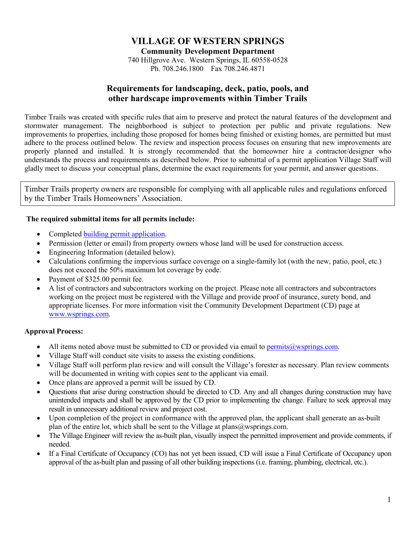# **VILLAGE OF WESTERN SPRINGS**

**Community Development Department**

740 Hillgrove Ave. Western Springs, IL 60558-0528 Ph. 708.246.1800 Fax 708.246.4871

# **Requirements for landscaping, deck, patio, pools, and other hardscape improvements within Timber Trails**

Timber Trails was created with specific rules that aim to preserve and protect the natural features of the development and stormwater management. The neighborhood is subject to protection per public and private regulations. New improvements to properties, including those proposed for homes being finished or existing homes, are permitted but must adhere to the process outlined below. The review and inspection process focuses on ensuring that new improvements are properly planned and installed. It is strongly recommended that the homeowner hire a contractor/designer who understands the process and requirements as described below. Prior to submittal of a permit application Village Staff will gladly meet to discuss your conceptual plans, determine the exact requirements for your permit, and answer questions.

Timber Trails property owners are responsible for complying with all applicable rules and regulations enforced by the Timber Trails Homeowners' Association.

## **The required submittal items for all permits include:**

- Completed [building permit application.](http://www.wsprings.com/DocumentCenter/View/48)
- Permission (letter or email) from property owners whose land will be used for construction access.
- Engineering Information (detailed below).
- Calculations confirming the impervious surface coverage on a single-family lot (with the new, patio, pool, etc.) does not exceed the 50% maximum lot coverage by code.
- Payment of \$325.00 permit fee.
- A list of contractors and subcontractors working on the project. Please note all contractors and subcontractors working on the project must be registered with the Village and provide proof of insurance, surety bond, and appropriate licenses. For more information visit the Community Development Department (CD) page at [www.wsprings.com.](http://www.wsprings.com/)

## **Approval Process:**

- All items noted above must be submitted to CD or provided via email to [permits@wsprings.com.](mailto:permits@wsprings.com)
- Village Staff will conduct site visits to assess the existing conditions.
- Village Staff will perform plan review and will consult the Village's forester as necessary. Plan review comments will be documented in writing with copies sent to the applicant via email.
- Once plans are approved a permit will be issued by CD.
- Questions that arise during construction should be directed to CD. Any and all changes during construction may have unintended impacts and shall be approved by the CD prior to implementing the change. Failure to seek approval may result in unnecessary additional review and project cost.
- Upon completion of the project in conformance with the approved plan, the applicant shall generate an as-built plan of the entire lot, which shall be sent to the Village at plans $@$ wsprings.com.
- The Village Engineer will review the as-built plan, visually inspect the permitted improvement and provide comments, if needed.
- If a Final Certificate of Occupancy (CO) has not yet been issued, CD will issue a Final Certificate of Occupancy upon approval of the as-built plan and passing of all other building inspections (i.e. framing, plumbing, electrical, etc.).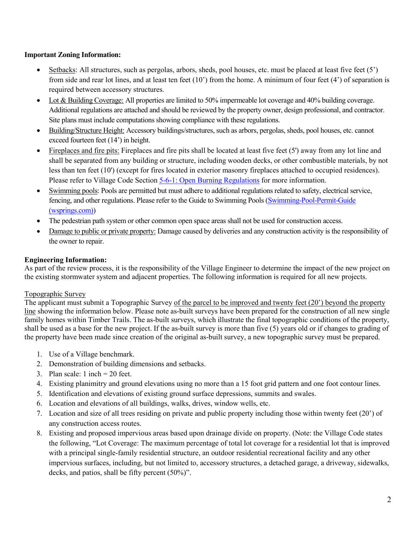## **Important Zoning Information:**

- Setbacks: All structures, such as pergolas, arbors, sheds, pool houses, etc. must be placed at least five feet (5') from side and rear lot lines, and at least ten feet  $(10')$  from the home. A minimum of four feet  $(4')$  of separation is required between accessory structures.
- Lot & Building Coverage: All properties are limited to 50% impermeable lot coverage and 40% building coverage. Additional regulations are attached and should be reviewed by the property owner, design professional, and contractor. Site plans must include computations showing compliance with these regulations.
- Building/Structure Height: Accessory buildings/structures, such as arbors, pergolas, sheds, pool houses, etc. cannot exceed fourteen feet (14') in height.
- Fireplaces and fire pits: Fireplaces and fire pits shall be located at least five feet (5') away from any lot line and shall be separated from any building or structure, including wooden decks, or other combustible materials, by not less than ten feet (10') (except for fires located in exterior masonry fireplaces attached to occupied residences). Please refer to Village Code Section [5-6-1: Open Burning Regulations](http://www.sterlingcodifiers.com/codebook/getBookData.php?chapter_id=11831#s896290) for more information.
- Swimming pools: Pools are permitted but must adhere to additional regulations related to safety, electrical service, fencing, and other regulations. Please refer to the Guide to Swimming Pools [\(Swimming-Pool-Permit-Guide](https://wsprings.com/DocumentCenter/View/46/Swimming-Pool-Permit-Guide?bidId=)  [\(wsprings.com\)\)](https://wsprings.com/DocumentCenter/View/46/Swimming-Pool-Permit-Guide?bidId=)
- The pedestrian path system or other common open space areas shall not be used for construction access.
- Damage to public or private property: Damage caused by deliveries and any construction activity is the responsibility of the owner to repair.

#### **Engineering Information:**

As part of the review process, it is the responsibility of the Village Engineer to determine the impact of the new project on the existing stormwater system and adjacent properties. The following information is required for all new projects.

#### Topographic Survey

The applicant must submit a Topographic Survey of the parcel to be improved and twenty feet (20') beyond the property line showing the information below. Please note as-built surveys have been prepared for the construction of all new single family homes within Timber Trails. The as-built surveys, which illustrate the final topographic conditions of the property, shall be used as a base for the new project. If the as-built survey is more than five (5) years old or if changes to grading of the property have been made since creation of the original as-built survey, a new topographic survey must be prepared.

- 1. Use of a Village benchmark.
- 2. Demonstration of building dimensions and setbacks.
- 3. Plan scale: 1 inch = 20 feet.
- 4. Existing planimitry and ground elevations using no more than a 15 foot grid pattern and one foot contour lines.
- 5. Identification and elevations of existing ground surface depressions, summits and swales.
- 6. Location and elevations of all buildings, walks, drives, window wells, etc.
- 7. Location and size of all trees residing on private and public property including those within twenty feet (20') of any construction access routes.
- 8. Existing and proposed impervious areas based upon drainage divide on property. (Note: the Village Code states the following, "Lot Coverage: The maximum percentage of total lot coverage for a residential lot that is improved with a principal single-family residential structure, an outdoor residential recreational facility and any other impervious surfaces, including, but not limited to, accessory structures, a detached garage, a driveway, sidewalks, decks, and patios, shall be fifty percent (50%)".